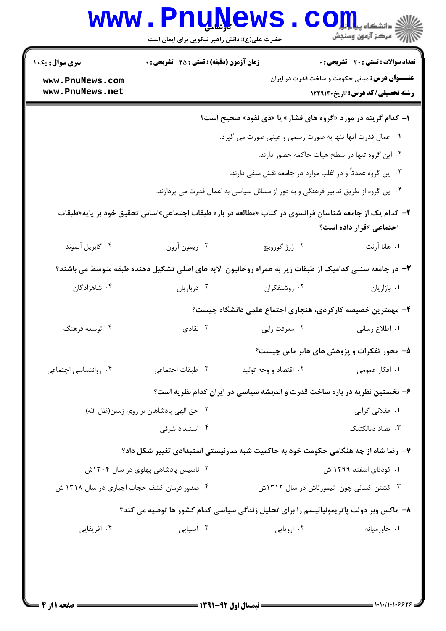| <b>تعداد سوالات : تستی : 30 ٪ تشریحی : 0</b><br><b>عنــــوان درس:</b> مبانی حکومت و ساخت قدرت در ایران<br>رشته تحصیلی/کد درس: تاریخ۱۲۲۹۱۴۰ |                                                                                                        | <b>زمان آزمون (دقیقه) : تستی : 45 گشریحی : 0</b> | <b>سری سوال :</b> یک ۱<br>www.PnuNews.com<br>www.PnuNews.net |
|--------------------------------------------------------------------------------------------------------------------------------------------|--------------------------------------------------------------------------------------------------------|--------------------------------------------------|--------------------------------------------------------------|
|                                                                                                                                            | ا– کدام گزینه در مورد «گروه های فشار» یا «ذی نفوذ» صحیح است؟                                           |                                                  |                                                              |
|                                                                                                                                            | ١. اعمال قدرت آنها تنها به صورت رسمي و عيني صورت مي گيرد.                                              |                                                  |                                                              |
| ۰۲ این گروه تنها در سطح هیات حاکمه حضور دارند.                                                                                             |                                                                                                        |                                                  |                                                              |
|                                                                                                                                            | ۰۳ این گروه عمدتاً و در اغلب موارد در جامعه نقش منفی دارند.                                            |                                                  |                                                              |
|                                                                                                                                            | ۰۴ این گروه از طریق تدابیر فرهنگی و به دور از مسائل سیاسی به اعمال قدرت می پردازند.                    |                                                  |                                                              |
| اجتماعی »قرار داده است؟                                                                                                                    | ۲–  کدام یک از جامعه شناسان فرانسوی در کتاب «مطالعه در باره طبقات اجتماعی»اساس تحقیق خود بر پایه«طبقات |                                                  |                                                              |
| ١. هانا آرنت                                                                                                                               | ۰۲ ژرژ گورویچ                                                                                          | ۰۳ ريمون آرون                                    | ۰۴ گابريل آلموند                                             |
|                                                                                                                                            | ۳– در جامعه سنتی کدامیک از طبقات زیر به همراه روحانیون لایه های اصلی تشکیل دهنده طبقه متوسط می باشند؟  |                                                  |                                                              |
| ٠١. بازاريان                                                                                                                               | ۰۲ روشنفکران                                                                                           | ۰۳ درباريان                                      | ۰۴ شاهزادگان                                                 |
|                                                                                                                                            | ۴– مهمترین خصیصه کارکردی، هنجاری اجتماع علمی دانشگاه چیست؟                                             |                                                  |                                                              |
| ٠١ اطلاع رساني                                                                                                                             | ۰۲ معرفت زايي                                                                                          | نقادی $\cdot$ ۳                                  | ۰۴ توسعه فرهنگ                                               |
| ۵– محور تفکرات و پژوهش های هابر ماس چیست؟                                                                                                  |                                                                                                        |                                                  |                                                              |
| ۰۱ افکار عمومی                                                                                                                             | ۰۲ اقتصاد و وجه توليد                                                                                  | ۰۳ طبقات اجتماعی                                 | ۰۴ روانشناسی اجتماعی                                         |
|                                                                                                                                            | ۶– نخستین نظریه در باره ساخت قدرت و اندیشه سیاسی در ایران کدام نظریه است؟                              |                                                  |                                                              |
| ۰۱ عقلانی گرایی                                                                                                                            | ۰۲ حق الهی پادشاهان بر روی زمین(ظل الله)                                                               |                                                  |                                                              |
| ۰۳ تضاد دیالکتیک                                                                                                                           |                                                                                                        | ۰۴ استبداد شرقی                                  |                                                              |
|                                                                                                                                            | ۷- رضا شاه از چه هنگامی حکومت خود به حاکمیت شبه مدرنیستی استبدادی تغییر شکل داد؟                       |                                                  |                                                              |
| ۰۱ کودتای اسفند ۱۲۹۹ ش                                                                                                                     |                                                                                                        | ۰۲ تاسیس پادشاهی پهلوی در سال ۱۳۰۴ش              |                                                              |
| ۰۳ کشتن کسانی چون ِتیمورتاش در سال ۱۳۱۲ش                                                                                                   |                                                                                                        |                                                  | ۰۴ صدور فرمان کشف حجاب اجباری در سال ۱۳۱۸ ش                  |
|                                                                                                                                            | ۸– ماکس وبر دولت پاتریمونیالیسم را برای تحلیل زندگی سیاسی کدام کشور ها توصیه می کند؟                   |                                                  |                                                              |
| ۰۱ خاورمیانه                                                                                                                               | ۰۲ اروپایی                                                                                             | ۰۳ آسیایی                                        | ۰۴ آفریقایی                                                  |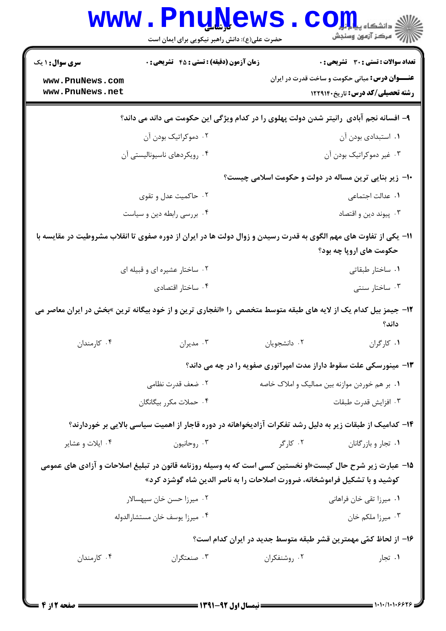|                                                                                                                                                                                         | ک ساسی<br>حضرت علی(ع): دانش راهبر نیکویی برای ایمان است                                                  |                                               | دانشگاه پ <b>یا با تو</b><br>رِ ۖ مرڪز آزمون وسنڊش                                             |  |  |  |
|-----------------------------------------------------------------------------------------------------------------------------------------------------------------------------------------|----------------------------------------------------------------------------------------------------------|-----------------------------------------------|------------------------------------------------------------------------------------------------|--|--|--|
| <b>سری سوال : ۱ یک</b><br>www.PnuNews.com                                                                                                                                               | <b>زمان آزمون (دقیقه) : تستی : 45 قشریحی : 0</b>                                                         |                                               | تعداد سوالات : تستي : 30 ٪ تشريحي : 0<br><b>عنـــوان درس:</b> مبانی حکومت و ساخت قدرت در ایران |  |  |  |
| www.PnuNews.net                                                                                                                                                                         |                                                                                                          |                                               | <b>رشته تحصیلی/کد درس:</b> تاریخ۱۲۲۹۱۴۰                                                        |  |  |  |
| ۹- افسانه نجم آبادی رانیتر شدن دولت پهلوی را در کدام ویژگی این حکومت می داند می داند؟                                                                                                   |                                                                                                          |                                               |                                                                                                |  |  |  |
|                                                                                                                                                                                         | ۰۲ دموکراتیک بودن آن                                                                                     |                                               | ٠١. استبدادي بودن آن                                                                           |  |  |  |
|                                                                                                                                                                                         | ۰۴ رویکردهای ناسیونالیستی آن                                                                             |                                               | ۰۳ غیر دموکراتیک بودن آن                                                                       |  |  |  |
|                                                                                                                                                                                         |                                                                                                          |                                               | ∙ا− زیر بنایی ترین مساله در دولت و حکومت اسلامی چیست؟                                          |  |  |  |
|                                                                                                                                                                                         | ۰۲ حاکمیت عدل و تقوی                                                                                     |                                               | ٠١. عدالت اجتماعي                                                                              |  |  |  |
|                                                                                                                                                                                         | ۰۴ بررسی رابطه دین و سیاست                                                                               |                                               | ۰۳ پیوند دین و اقتصاد                                                                          |  |  |  |
| 1۱– یکی از تفاوت های مهم الگوی به قدرت رسیدن و زوال دولت ها در ایران از دوره صفوی تا انقلاب مشروطیت در مقایسه با<br>حکومت های اروپا چه بود؟                                             |                                                                                                          |                                               |                                                                                                |  |  |  |
|                                                                                                                                                                                         | ۰۲ ساختار عشیره ای و قبیله ای                                                                            |                                               | ۰۱ ساختار طبقاتی                                                                               |  |  |  |
|                                                                                                                                                                                         | ۰۴ ساختار اقتصادي                                                                                        |                                               | ۰۳ ساختار سنتی                                                                                 |  |  |  |
| ۱۲- جیمز بیل کدام یک از لایه های طبقه متوسط متخصص را «انفجاری ترین و از خود بیگانه ترین »بخش در ایران معاصر می<br>داند؟                                                                 |                                                                                                          |                                               |                                                                                                |  |  |  |
| ۰۴ کارمندان                                                                                                                                                                             | ۰۳ مديران                                                                                                | ٠٢ دانشجويان                                  | ٠١ كاركران                                                                                     |  |  |  |
|                                                                                                                                                                                         |                                                                                                          |                                               | ۱۳- مینورسکی علت سقوط داراز مدت امپراتوری صفویه را در چه می داند؟                              |  |  |  |
|                                                                                                                                                                                         | ۰۲ ضعف قدرت نظامی                                                                                        | ۰۱ بر هم خوردن موازنه بین ممالیک و املاک خاصه |                                                                                                |  |  |  |
|                                                                                                                                                                                         | ۰۴ حملات مکرر بیگانگان                                                                                   |                                               | ۰۳ افزايش قدرت طبقات                                                                           |  |  |  |
|                                                                                                                                                                                         | ۱۴– کدامیک از طبقات زیر به دلیل رشد تفکرات آزادیخواهانه در دوره قاجار از اهمیت سیاسی بالایی بر خوردارند؟ |                                               |                                                                                                |  |  |  |
| ۰۴ ایلات و عشایر                                                                                                                                                                        | ۰۳ روحانيون                                                                                              | ۰۲ کارگر                                      | ۰۱ تجار و بازرگانان                                                                            |  |  |  |
| ۱۵– عبارت زیر شرح حال کیست«او نخستین کسی است که به وسیله روزنامه قانون در تبلیغ اصلاحات و آزادی های عمومی<br>کوشید و با تشکیل فراموشخانه، ضرورت اصلاحات را به ناصر الدین شاه گوشزد کرد» |                                                                                                          |                                               |                                                                                                |  |  |  |
|                                                                                                                                                                                         | ۰۲ میرزا حسن خان سپهسالار                                                                                |                                               | ٠١. ميرزا تقى خان فراهانى                                                                      |  |  |  |
|                                                                                                                                                                                         | ۰۴ ميرزا يوسف خان مستشارالدوله                                                                           |                                               | ۰۳ میرزا ملکم خان                                                                              |  |  |  |
|                                                                                                                                                                                         |                                                                                                          |                                               | ۱۶– از لحاظ کمّی مهمترین قشر طبقه متوسط جدید در ایران کدام است؟                                |  |  |  |
| ۰۴ کارمندان                                                                                                                                                                             | ۰۳ صنعتگران                                                                                              | ۰۲ روشنفکران                                  | ۰۱ تجار                                                                                        |  |  |  |
|                                                                                                                                                                                         |                                                                                                          |                                               |                                                                                                |  |  |  |

 $1 - 1 - 11 - 1 - 99$ 

 $1881$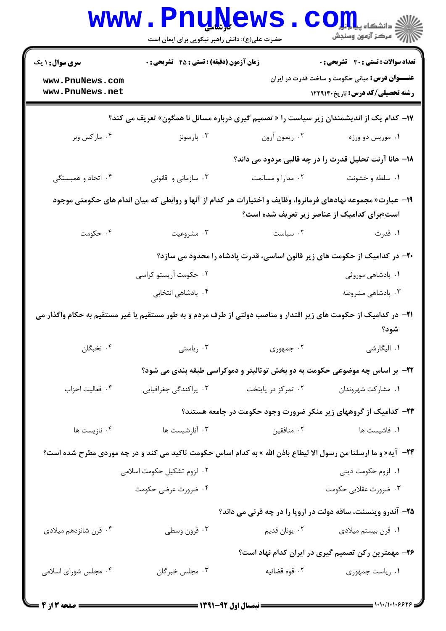|                                                                                                                                                             | <b>www.PnuNews</b><br>حضرت علی(ع): دانش راهبر نیکویی برای ایمان است |                                                                                     | $\text{COLL}$                                                                                                                   |  |
|-------------------------------------------------------------------------------------------------------------------------------------------------------------|---------------------------------------------------------------------|-------------------------------------------------------------------------------------|---------------------------------------------------------------------------------------------------------------------------------|--|
| <b>سری سوال : ۱ یک</b>                                                                                                                                      |                                                                     | زمان آزمون (دقیقه) : تستی : 45 آتشریحی : 0<br>تعداد سوالات : تستى : 30 ٪ تشريحي : 0 |                                                                                                                                 |  |
| www.PnuNews.com<br>www.PnuNews.net                                                                                                                          |                                                                     |                                                                                     | <b>عنـــوان درس:</b> مبانی حکومت و ساخت قدرت در ایران<br><b>رشته تحصیلی/کد درس:</b> تاریخ۱۲۲۹۱۴۰                                |  |
|                                                                                                                                                             |                                                                     |                                                                                     | ۱۷– کدام یک از اندیشمندان زیر سیاست را « تصمیم گیری درباره مسائل نا همگون» تعریف می کند؟                                        |  |
| ۰۴ مارکس وبر                                                                                                                                                | ۰۳ پارسونز                                                          | ۰۲ ريمون آرون                                                                       | ۰۱ موریس دو ورژه                                                                                                                |  |
|                                                                                                                                                             |                                                                     |                                                                                     | ۱۸– هانا آرنت تحلیل قدرت را در چه قالبی مردود می داند؟                                                                          |  |
| ۰۴ اتحاد و همبستگی                                                                                                                                          | ۰۳ سازمانی و قانونی                                                 | ۰۲ مدارا و مسالمت                                                                   | ۰۱ سلطه و خشونت                                                                                                                 |  |
| ۱۹– عبارت« مجموعه نهادهای فرمانروا، وظایف و اختیارات هر کدام از آنها و روابطی که میان اندام های حکومتی موجود<br>است»برای کدامیک از عناصر زیر تعریف شده است؟ |                                                                     |                                                                                     |                                                                                                                                 |  |
| ۰۴ حکومت                                                                                                                                                    | ۰۳ مشروعیت                                                          | ٠٢ سياست                                                                            | ۰۱ قدرت                                                                                                                         |  |
|                                                                                                                                                             |                                                                     |                                                                                     | +۲- در کدامیک از حکومت های زیر قانون اساسی، قدرت پادشاه را محدود می سازد؟                                                       |  |
|                                                                                                                                                             | ۰۲ حکومت آریستو کراسی                                               |                                                                                     | ۰۱ پادشاهی موروثی                                                                                                               |  |
|                                                                                                                                                             | ۰۴ پادشاهی انتخابی                                                  |                                                                                     | ۰۳ پادشاهی مشروطه                                                                                                               |  |
|                                                                                                                                                             |                                                                     |                                                                                     | <b>۲۱</b> – در کدامیک از حکومت های زیر اقتدار و مناصب دولتی از طرف مردم و به طور مستقیم یا غیر مستقیم به حکام واگذار می<br>شود؟ |  |
| ۰۴ نخبگان                                                                                                                                                   | ۰۳ ریاستی                                                           | ۰۲ جمهوری                                                                           | ١. اليگارشي                                                                                                                     |  |
|                                                                                                                                                             |                                                                     |                                                                                     | ۲۲- بر اساس چه موضوعی حکومت به دو بخش توتالیتر و دموکراسی طبقه بندی می شود؟                                                     |  |
| ۰۴ فعاليت احزاب                                                                                                                                             | ۰۳ پراکندگی جغرافیایی                                               | ۰۲ تمرکز در پایتخت                                                                  | ٠١ مشاركت شهروندان                                                                                                              |  |
|                                                                                                                                                             |                                                                     |                                                                                     | ۲۳- کدامیک از گروههای زیر منکر ضرورت وجود حکومت در جامعه هستند؟                                                                 |  |
| ۰۴ نازیست ها                                                                                                                                                | ۰۳ آنارشیست ها                                                      | ۰۲ منافقين                                                                          | ۰۱ فاشیست ها                                                                                                                    |  |
|                                                                                                                                                             |                                                                     |                                                                                     | ۲۴− آیه«و ما ارسلنا من رسول الا لیطاع باذن الله » به کدام اساس حکومت تاکید می کند و در چه موردی مطرح شده است؟                   |  |
|                                                                                                                                                             | ۰۲ لزوم تشکیل حکومت اسلامی                                          |                                                                                     | ۰۱ لزوم حکومت دینی                                                                                                              |  |
|                                                                                                                                                             | ۰۴ ضرورت عرضی حکومت                                                 |                                                                                     | ۰۳ ضرورت عقلايي حكومت                                                                                                           |  |
|                                                                                                                                                             |                                                                     |                                                                                     | ۲۵- آندرو وینسنت، ساقه دولت در اروپا را در چه قرنی می داند؟                                                                     |  |
| ۰۴ قرن شانزدهم میلادی                                                                                                                                       | ۰۳ قرون وسطى                                                        |                                                                                     | ۰۱ قرن بیستم میلادی مسلم ۲۰ یونان قدیم                                                                                          |  |
|                                                                                                                                                             |                                                                     |                                                                                     | ۲۶- مهمترین رکن تصمیم گیری در ایران کدام نهاد است؟                                                                              |  |
| ۰۴ مجلس شورای اسلامی                                                                                                                                        | ۰۳ مجلس خبرگان                                                      | ۰۲ قوه قضائیه                                                                       | ٠١. رياست جمهوري                                                                                                                |  |
| ــــ صفحه 13 ز 4 ــ                                                                                                                                         |                                                                     |                                                                                     |                                                                                                                                 |  |